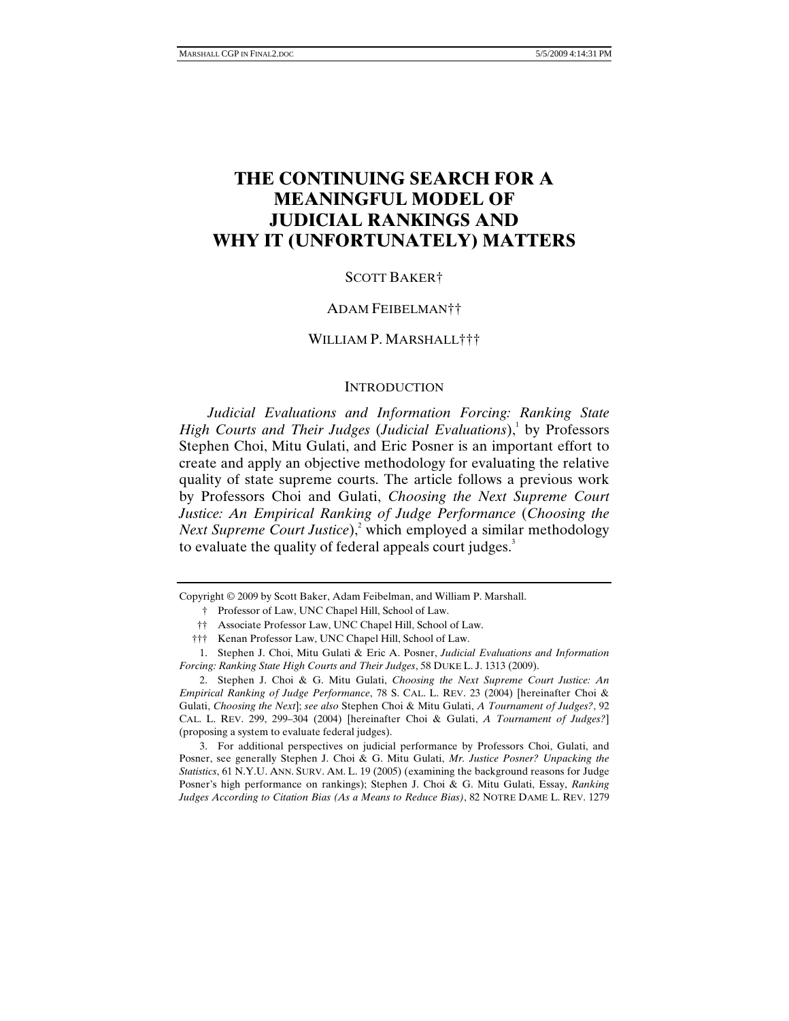# **THE CONTINUING SEARCH FOR A MEANINGFUL MODEL OF JUDICIAL RANKINGS AND WHY IT (UNFORTUNATELY) MATTERS**

#### SCOTT BAKER†

#### ADAM FEIBELMAN††

## WILLIAM P. MARSHALL†††

#### **INTRODUCTION**

*Judicial Evaluations and Information Forcing: Ranking State*  High Courts and Their Judges (Judicial Evaluations),<sup>1</sup> by Professors Stephen Choi, Mitu Gulati, and Eric Posner is an important effort to create and apply an objective methodology for evaluating the relative quality of state supreme courts. The article follows a previous work by Professors Choi and Gulati, *Choosing the Next Supreme Court Justice: An Empirical Ranking of Judge Performance* (*Choosing the Next Supreme Court Justice*),<sup>2</sup> which employed a similar methodology to evaluate the quality of federal appeals court judges.<sup>3</sup>

Copyright © 2009 by Scott Baker, Adam Feibelman, and William P. Marshall.

- † Professor of Law, UNC Chapel Hill, School of Law.
- †† Associate Professor Law, UNC Chapel Hill, School of Law.
- ††† Kenan Professor Law, UNC Chapel Hill, School of Law.

 2. Stephen J. Choi & G. Mitu Gulati, *Choosing the Next Supreme Court Justice: An Empirical Ranking of Judge Performance*, 78 S. CAL. L. REV. 23 (2004) [hereinafter Choi & Gulati, *Choosing the Next*]; *see also* Stephen Choi & Mitu Gulati, *A Tournament of Judges?*, 92 CAL. L. REV. 299, 299–304 (2004) [hereinafter Choi & Gulati, *A Tournament of Judges?*] (proposing a system to evaluate federal judges).

 3. For additional perspectives on judicial performance by Professors Choi, Gulati, and Posner, see generally Stephen J. Choi & G. Mitu Gulati, *Mr. Justice Posner? Unpacking the Statistics*, 61 N.Y.U. ANN. SURV. AM. L. 19 (2005) (examining the background reasons for Judge Posner's high performance on rankings); Stephen J. Choi & G. Mitu Gulati, Essay, *Ranking Judges According to Citation Bias (As a Means to Reduce Bias)*, 82 NOTRE DAME L. REV. 1279

 <sup>1.</sup> Stephen J. Choi, Mitu Gulati & Eric A. Posner, *Judicial Evaluations and Information Forcing: Ranking State High Courts and Their Judges*, 58 DUKE L. J. 1313 (2009).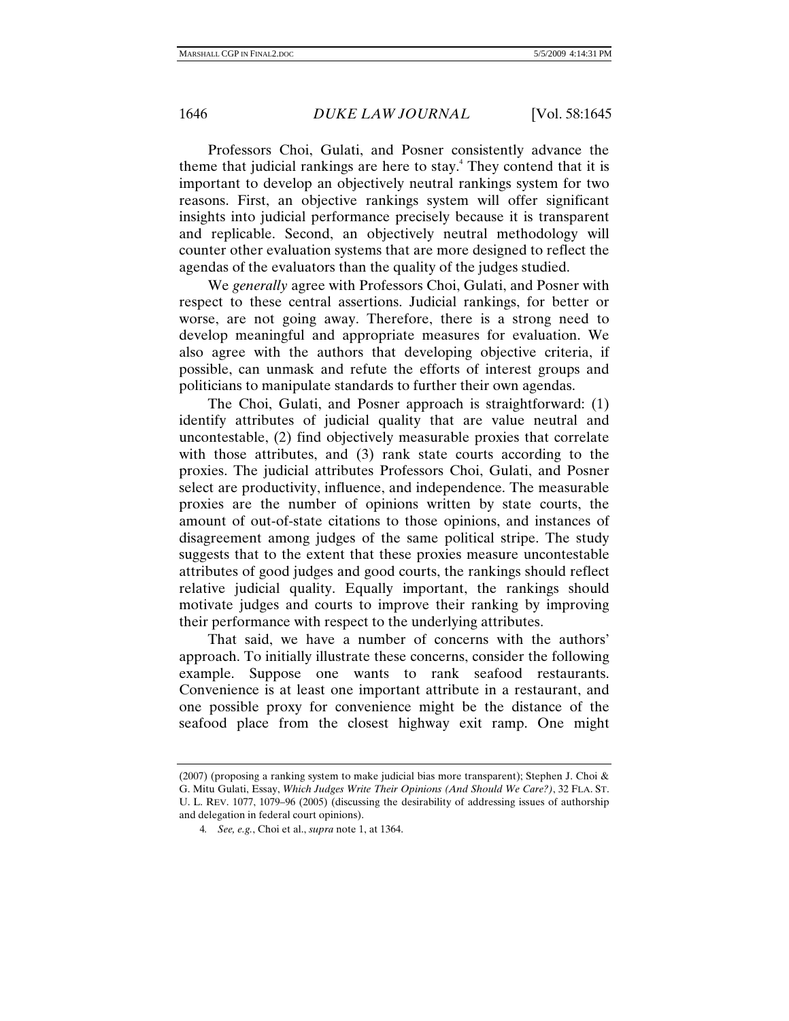Professors Choi, Gulati, and Posner consistently advance the theme that judicial rankings are here to stay.<sup>4</sup> They contend that it is important to develop an objectively neutral rankings system for two reasons. First, an objective rankings system will offer significant insights into judicial performance precisely because it is transparent and replicable. Second, an objectively neutral methodology will counter other evaluation systems that are more designed to reflect the agendas of the evaluators than the quality of the judges studied.

We *generally* agree with Professors Choi, Gulati, and Posner with respect to these central assertions. Judicial rankings, for better or worse, are not going away. Therefore, there is a strong need to develop meaningful and appropriate measures for evaluation. We also agree with the authors that developing objective criteria, if possible, can unmask and refute the efforts of interest groups and politicians to manipulate standards to further their own agendas.

The Choi, Gulati, and Posner approach is straightforward: (1) identify attributes of judicial quality that are value neutral and uncontestable, (2) find objectively measurable proxies that correlate with those attributes, and (3) rank state courts according to the proxies. The judicial attributes Professors Choi, Gulati, and Posner select are productivity, influence, and independence. The measurable proxies are the number of opinions written by state courts, the amount of out-of-state citations to those opinions, and instances of disagreement among judges of the same political stripe. The study suggests that to the extent that these proxies measure uncontestable attributes of good judges and good courts, the rankings should reflect relative judicial quality. Equally important, the rankings should motivate judges and courts to improve their ranking by improving their performance with respect to the underlying attributes.

That said, we have a number of concerns with the authors' approach. To initially illustrate these concerns, consider the following example. Suppose one wants to rank seafood restaurants. Convenience is at least one important attribute in a restaurant, and one possible proxy for convenience might be the distance of the seafood place from the closest highway exit ramp. One might

<sup>(2007) (</sup>proposing a ranking system to make judicial bias more transparent); Stephen J. Choi  $\&$ G. Mitu Gulati, Essay, *Which Judges Write Their Opinions (And Should We Care?)*, 32 FLA. ST. U. L. REV. 1077, 1079–96 (2005) (discussing the desirability of addressing issues of authorship and delegation in federal court opinions).

<sup>4</sup>*. See, e.g.*, Choi et al., *supra* note 1, at 1364.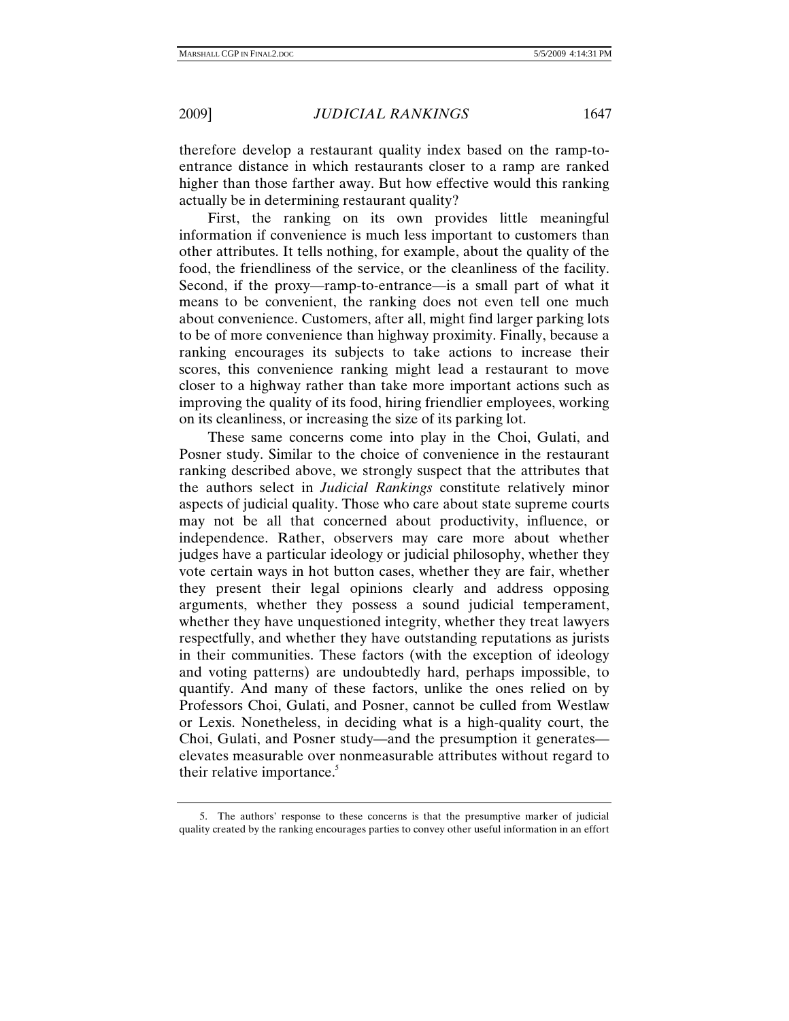therefore develop a restaurant quality index based on the ramp-toentrance distance in which restaurants closer to a ramp are ranked higher than those farther away. But how effective would this ranking actually be in determining restaurant quality?

First, the ranking on its own provides little meaningful information if convenience is much less important to customers than other attributes. It tells nothing, for example, about the quality of the food, the friendliness of the service, or the cleanliness of the facility. Second, if the proxy—ramp-to-entrance—is a small part of what it means to be convenient, the ranking does not even tell one much about convenience. Customers, after all, might find larger parking lots to be of more convenience than highway proximity. Finally, because a ranking encourages its subjects to take actions to increase their scores, this convenience ranking might lead a restaurant to move closer to a highway rather than take more important actions such as improving the quality of its food, hiring friendlier employees, working on its cleanliness, or increasing the size of its parking lot.

These same concerns come into play in the Choi, Gulati, and Posner study. Similar to the choice of convenience in the restaurant ranking described above, we strongly suspect that the attributes that the authors select in *Judicial Rankings* constitute relatively minor aspects of judicial quality. Those who care about state supreme courts may not be all that concerned about productivity, influence, or independence. Rather, observers may care more about whether judges have a particular ideology or judicial philosophy, whether they vote certain ways in hot button cases, whether they are fair, whether they present their legal opinions clearly and address opposing arguments, whether they possess a sound judicial temperament, whether they have unquestioned integrity, whether they treat lawyers respectfully, and whether they have outstanding reputations as jurists in their communities. These factors (with the exception of ideology and voting patterns) are undoubtedly hard, perhaps impossible, to quantify. And many of these factors, unlike the ones relied on by Professors Choi, Gulati, and Posner, cannot be culled from Westlaw or Lexis. Nonetheless, in deciding what is a high-quality court, the Choi, Gulati, and Posner study—and the presumption it generates elevates measurable over nonmeasurable attributes without regard to their relative importance.<sup>5</sup>

 <sup>5.</sup> The authors' response to these concerns is that the presumptive marker of judicial quality created by the ranking encourages parties to convey other useful information in an effort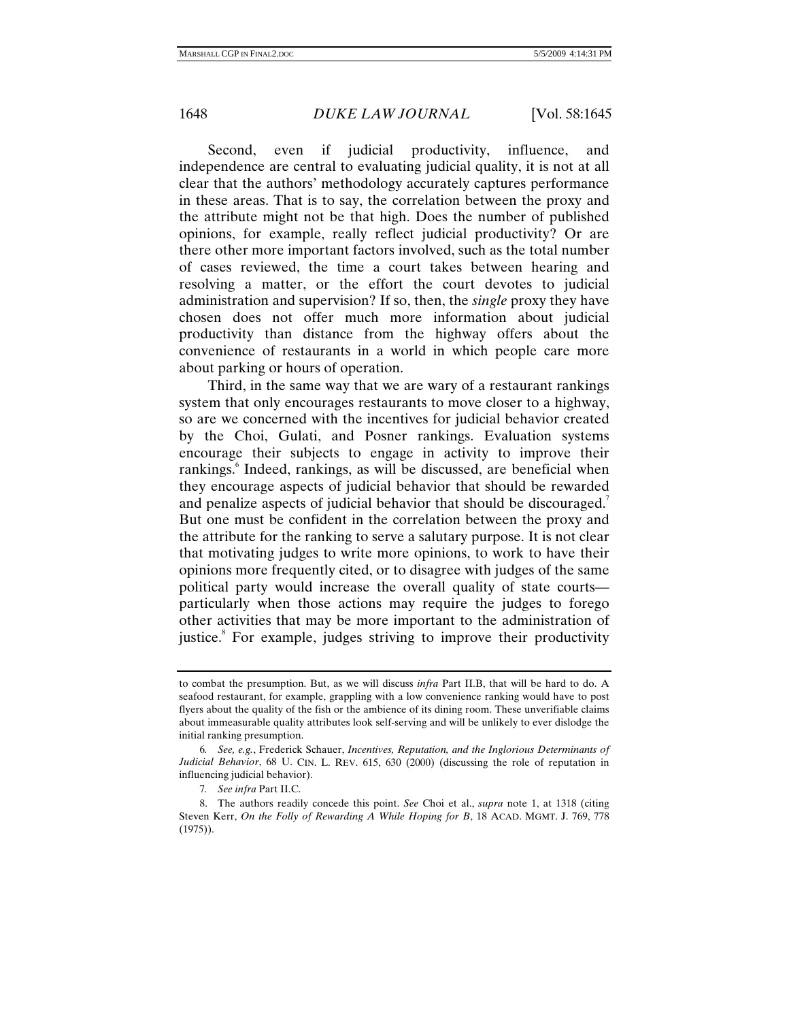Second, even if judicial productivity, influence, and independence are central to evaluating judicial quality, it is not at all clear that the authors' methodology accurately captures performance in these areas. That is to say, the correlation between the proxy and the attribute might not be that high. Does the number of published opinions, for example, really reflect judicial productivity? Or are there other more important factors involved, such as the total number of cases reviewed, the time a court takes between hearing and resolving a matter, or the effort the court devotes to judicial administration and supervision? If so, then, the *single* proxy they have chosen does not offer much more information about judicial productivity than distance from the highway offers about the convenience of restaurants in a world in which people care more about parking or hours of operation.

Third, in the same way that we are wary of a restaurant rankings system that only encourages restaurants to move closer to a highway, so are we concerned with the incentives for judicial behavior created by the Choi, Gulati, and Posner rankings. Evaluation systems encourage their subjects to engage in activity to improve their rankings.<sup>6</sup> Indeed, rankings, as will be discussed, are beneficial when they encourage aspects of judicial behavior that should be rewarded and penalize aspects of judicial behavior that should be discouraged.<sup>7</sup> But one must be confident in the correlation between the proxy and the attribute for the ranking to serve a salutary purpose. It is not clear that motivating judges to write more opinions, to work to have their opinions more frequently cited, or to disagree with judges of the same political party would increase the overall quality of state courts particularly when those actions may require the judges to forego other activities that may be more important to the administration of justice.<sup>8</sup> For example, judges striving to improve their productivity

to combat the presumption. But, as we will discuss *infra* Part II.B, that will be hard to do. A seafood restaurant, for example, grappling with a low convenience ranking would have to post flyers about the quality of the fish or the ambience of its dining room. These unverifiable claims about immeasurable quality attributes look self-serving and will be unlikely to ever dislodge the initial ranking presumption.

<sup>6</sup>*. See, e.g.*, Frederick Schauer, *Incentives, Reputation, and the Inglorious Determinants of Judicial Behavior*, 68 U. CIN. L. REV. 615, 630 (2000) (discussing the role of reputation in influencing judicial behavior).

<sup>7</sup>*. See infra* Part II.C.

 <sup>8.</sup> The authors readily concede this point. *See* Choi et al., *supra* note 1, at 1318 (citing Steven Kerr, *On the Folly of Rewarding A While Hoping for B*, 18 ACAD. MGMT. J. 769, 778 (1975)).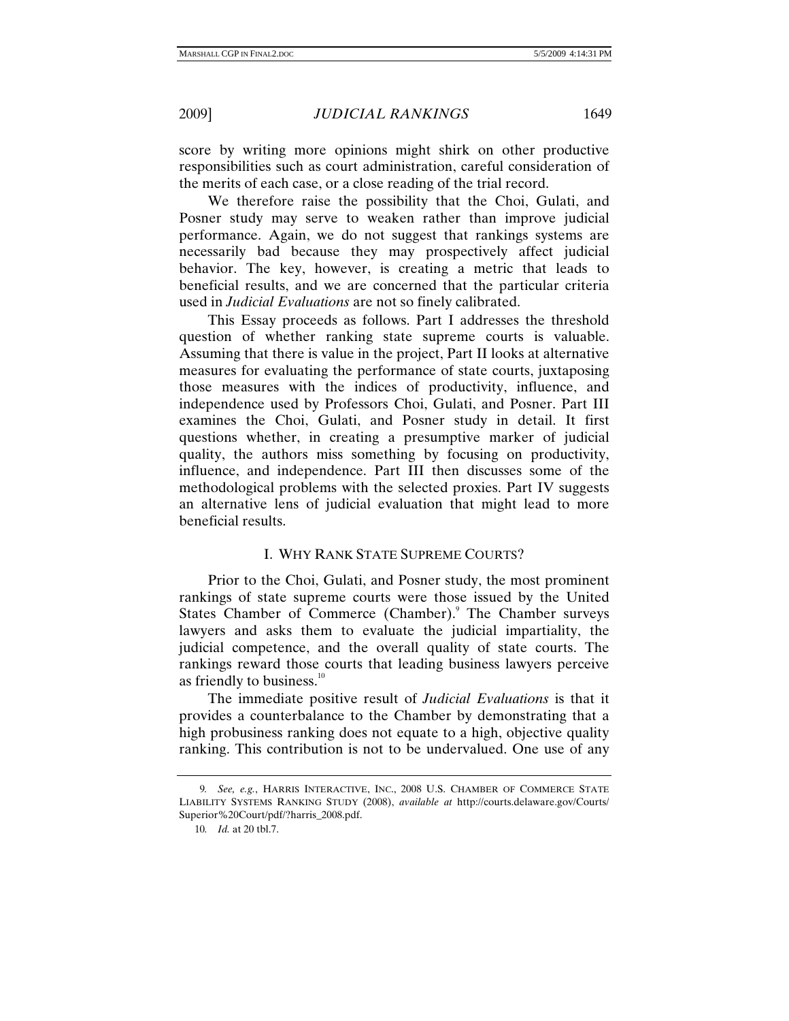score by writing more opinions might shirk on other productive responsibilities such as court administration, careful consideration of the merits of each case, or a close reading of the trial record.

We therefore raise the possibility that the Choi, Gulati, and Posner study may serve to weaken rather than improve judicial performance. Again, we do not suggest that rankings systems are necessarily bad because they may prospectively affect judicial behavior. The key, however, is creating a metric that leads to beneficial results, and we are concerned that the particular criteria used in *Judicial Evaluations* are not so finely calibrated.

This Essay proceeds as follows. Part I addresses the threshold question of whether ranking state supreme courts is valuable. Assuming that there is value in the project, Part II looks at alternative measures for evaluating the performance of state courts, juxtaposing those measures with the indices of productivity, influence, and independence used by Professors Choi, Gulati, and Posner. Part III examines the Choi, Gulati, and Posner study in detail. It first questions whether, in creating a presumptive marker of judicial quality, the authors miss something by focusing on productivity, influence, and independence. Part III then discusses some of the methodological problems with the selected proxies. Part IV suggests an alternative lens of judicial evaluation that might lead to more beneficial results.

## I. WHY RANK STATE SUPREME COURTS?

Prior to the Choi, Gulati, and Posner study, the most prominent rankings of state supreme courts were those issued by the United States Chamber of Commerce (Chamber).<sup>9</sup> The Chamber surveys lawyers and asks them to evaluate the judicial impartiality, the judicial competence, and the overall quality of state courts. The rankings reward those courts that leading business lawyers perceive as friendly to business. $10$ 

The immediate positive result of *Judicial Evaluations* is that it provides a counterbalance to the Chamber by demonstrating that a high probusiness ranking does not equate to a high, objective quality ranking. This contribution is not to be undervalued. One use of any

<sup>9</sup>*. See, e.g.*, HARRIS INTERACTIVE, INC., 2008 U.S. CHAMBER OF COMMERCE STATE LIABILITY SYSTEMS RANKING STUDY (2008), *available at* http://courts.delaware.gov/Courts/ Superior%20Court/pdf/?harris\_2008.pdf.

<sup>10</sup>*. Id.* at 20 tbl.7.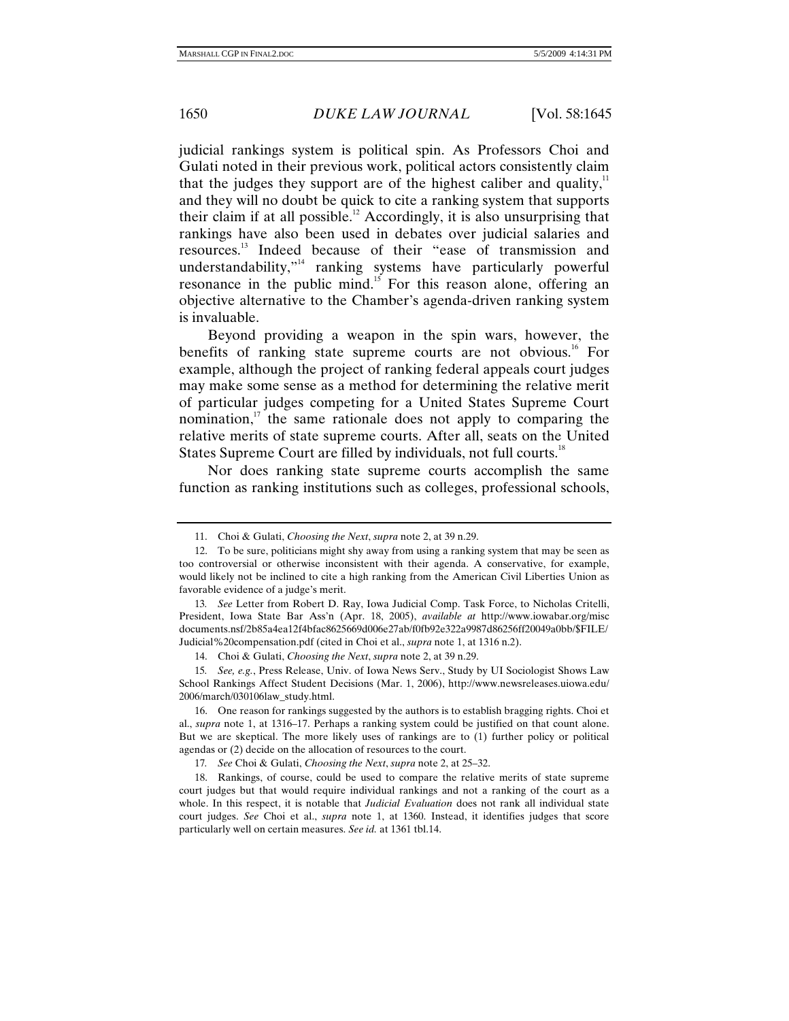judicial rankings system is political spin. As Professors Choi and Gulati noted in their previous work, political actors consistently claim that the judges they support are of the highest caliber and quality, $11$ and they will no doubt be quick to cite a ranking system that supports their claim if at all possible.<sup>12</sup> Accordingly, it is also unsurprising that rankings have also been used in debates over judicial salaries and resources.13 Indeed because of their "ease of transmission and understandability,"<sup>14</sup> ranking systems have particularly powerful resonance in the public mind.<sup>15</sup> For this reason alone, offering an objective alternative to the Chamber's agenda-driven ranking system is invaluable.

Beyond providing a weapon in the spin wars, however, the benefits of ranking state supreme courts are not obvious.<sup>16</sup> For example, although the project of ranking federal appeals court judges may make some sense as a method for determining the relative merit of particular judges competing for a United States Supreme Court nomination, $\frac{17}{12}$  the same rationale does not apply to comparing the relative merits of state supreme courts. After all, seats on the United States Supreme Court are filled by individuals, not full courts.<sup>18</sup>

Nor does ranking state supreme courts accomplish the same function as ranking institutions such as colleges, professional schools,

17*. See* Choi & Gulati, *Choosing the Next*, *supra* note 2, at 25–32.

 <sup>11.</sup> Choi & Gulati, *Choosing the Next*, *supra* note 2, at 39 n.29.

 <sup>12.</sup> To be sure, politicians might shy away from using a ranking system that may be seen as too controversial or otherwise inconsistent with their agenda. A conservative, for example, would likely not be inclined to cite a high ranking from the American Civil Liberties Union as favorable evidence of a judge's merit.

<sup>13</sup>*. See* Letter from Robert D. Ray, Iowa Judicial Comp. Task Force, to Nicholas Critelli, President, Iowa State Bar Ass'n (Apr. 18, 2005), *available at* http://www.iowabar.org/misc documents.nsf/2b85a4ea12f4bfac8625669d006e27ab/f0fb92e322a9987d86256ff20049a0bb/\$FILE/ Judicial%20compensation.pdf (cited in Choi et al., *supra* note 1, at 1316 n.2).

 <sup>14.</sup> Choi & Gulati, *Choosing the Next*, *supra* note 2, at 39 n.29.

<sup>15</sup>*. See, e.g.*, Press Release, Univ. of Iowa News Serv., Study by UI Sociologist Shows Law School Rankings Affect Student Decisions (Mar. 1, 2006), http://www.newsreleases.uiowa.edu/ 2006/march/030106law\_study.html.

 <sup>16.</sup> One reason for rankings suggested by the authors is to establish bragging rights. Choi et al., *supra* note 1, at 1316–17. Perhaps a ranking system could be justified on that count alone. But we are skeptical. The more likely uses of rankings are to (1) further policy or political agendas or (2) decide on the allocation of resources to the court.

 <sup>18.</sup> Rankings, of course, could be used to compare the relative merits of state supreme court judges but that would require individual rankings and not a ranking of the court as a whole. In this respect, it is notable that *Judicial Evaluation* does not rank all individual state court judges. *See* Choi et al., *supra* note 1, at 1360. Instead, it identifies judges that score particularly well on certain measures. *See id.* at 1361 tbl.14.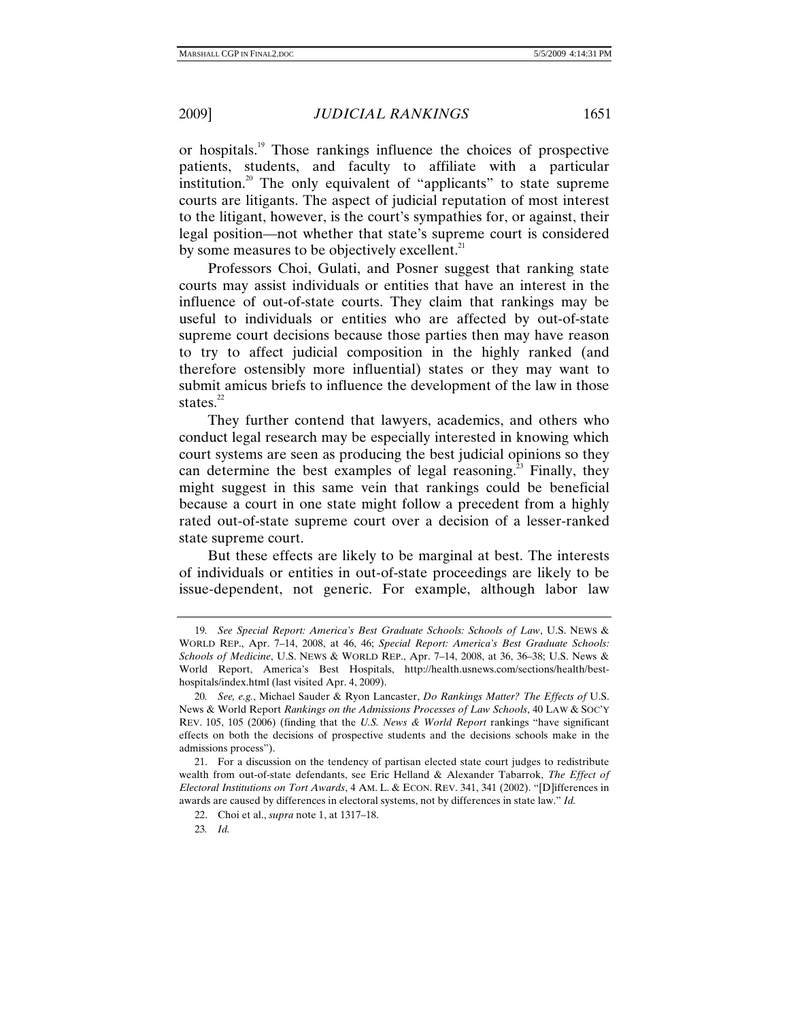or hospitals.19 Those rankings influence the choices of prospective patients, students, and faculty to affiliate with a particular institution.<sup>20</sup> The only equivalent of "applicants" to state supreme courts are litigants. The aspect of judicial reputation of most interest to the litigant, however, is the court's sympathies for, or against, their legal position—not whether that state's supreme court is considered by some measures to be objectively excellent. $2<sup>1</sup>$ 

Professors Choi, Gulati, and Posner suggest that ranking state courts may assist individuals or entities that have an interest in the influence of out-of-state courts. They claim that rankings may be useful to individuals or entities who are affected by out-of-state supreme court decisions because those parties then may have reason to try to affect judicial composition in the highly ranked (and therefore ostensibly more influential) states or they may want to submit amicus briefs to influence the development of the law in those states. $22$ 

They further contend that lawyers, academics, and others who conduct legal research may be especially interested in knowing which court systems are seen as producing the best judicial opinions so they can determine the best examples of legal reasoning.<sup>23</sup> Finally, they might suggest in this same vein that rankings could be beneficial because a court in one state might follow a precedent from a highly rated out-of-state supreme court over a decision of a lesser-ranked state supreme court.

But these effects are likely to be marginal at best. The interests of individuals or entities in out-of-state proceedings are likely to be issue-dependent, not generic. For example, although labor law

<sup>19</sup>*. See Special Report: America's Best Graduate Schools: Schools of Law*, U.S. NEWS & WORLD REP., Apr. 7–14, 2008, at 46, 46; *Special Report: America's Best Graduate Schools: Schools of Medicine*, U.S. NEWS & WORLD REP., Apr. 7–14, 2008, at 36, 36–38; U.S. News & World Report, America's Best Hospitals, http://health.usnews.com/sections/health/besthospitals/index.html (last visited Apr. 4, 2009).

<sup>20</sup>*. See, e.g.*, Michael Sauder & Ryon Lancaster, *Do Rankings Matter? The Effects of* U.S. News & World Report *Rankings on the Admissions Processes of Law Schools*, 40 LAW & SOC'Y REV. 105, 105 (2006) (finding that the *U.S. News & World Report* rankings "have significant effects on both the decisions of prospective students and the decisions schools make in the admissions process").

 <sup>21.</sup> For a discussion on the tendency of partisan elected state court judges to redistribute wealth from out-of-state defendants, see Eric Helland & Alexander Tabarrok, *The Effect of Electoral Institutions on Tort Awards*, 4 AM. L. & ECON. REV. 341, 341 (2002). "[D]ifferences in awards are caused by differences in electoral systems, not by differences in state law." *Id.*

 <sup>22.</sup> Choi et al., *supra* note 1, at 1317–18.

<sup>23</sup>*. Id.*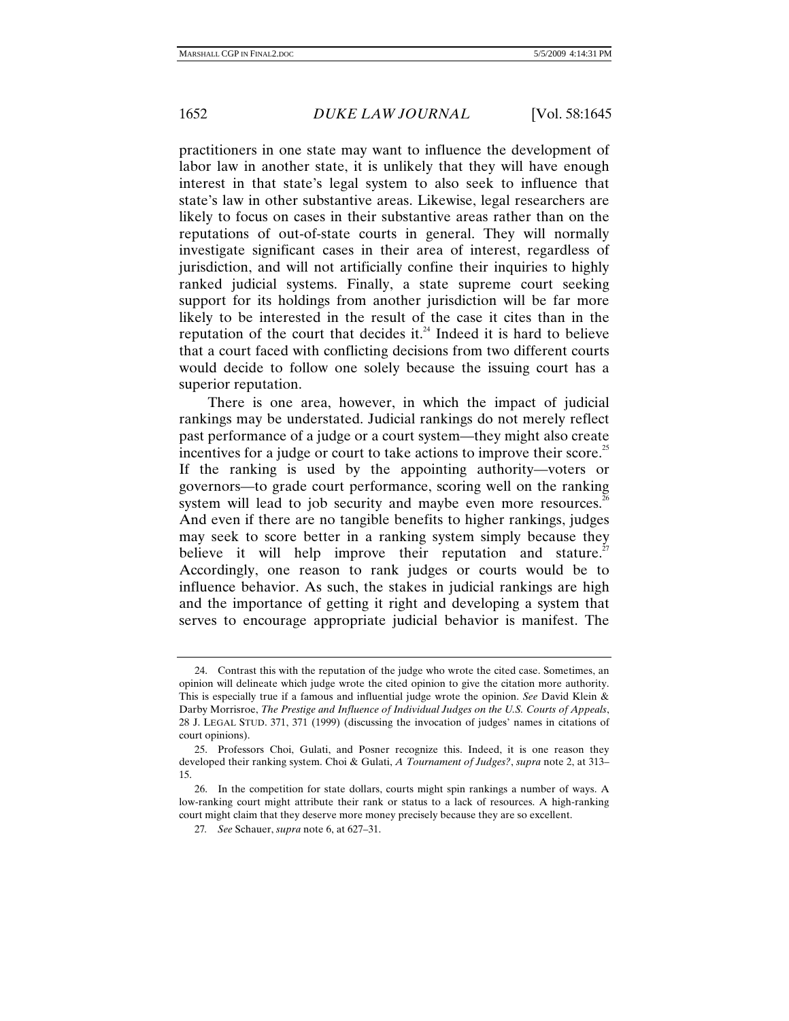practitioners in one state may want to influence the development of labor law in another state, it is unlikely that they will have enough interest in that state's legal system to also seek to influence that state's law in other substantive areas. Likewise, legal researchers are likely to focus on cases in their substantive areas rather than on the reputations of out-of-state courts in general. They will normally investigate significant cases in their area of interest, regardless of jurisdiction, and will not artificially confine their inquiries to highly ranked judicial systems. Finally, a state supreme court seeking support for its holdings from another jurisdiction will be far more likely to be interested in the result of the case it cites than in the reputation of the court that decides it. $24$  Indeed it is hard to believe that a court faced with conflicting decisions from two different courts would decide to follow one solely because the issuing court has a superior reputation.

There is one area, however, in which the impact of judicial rankings may be understated. Judicial rankings do not merely reflect past performance of a judge or a court system—they might also create incentives for a judge or court to take actions to improve their score.<sup>25</sup> If the ranking is used by the appointing authority—voters or governors—to grade court performance, scoring well on the ranking system will lead to job security and maybe even more resources.<sup>26</sup> And even if there are no tangible benefits to higher rankings, judges may seek to score better in a ranking system simply because they believe it will help improve their reputation and stature.<sup>27</sup> Accordingly, one reason to rank judges or courts would be to influence behavior. As such, the stakes in judicial rankings are high and the importance of getting it right and developing a system that serves to encourage appropriate judicial behavior is manifest. The

 <sup>24.</sup> Contrast this with the reputation of the judge who wrote the cited case. Sometimes, an opinion will delineate which judge wrote the cited opinion to give the citation more authority. This is especially true if a famous and influential judge wrote the opinion. *See* David Klein & Darby Morrisroe, *The Prestige and Influence of Individual Judges on the U.S. Courts of Appeals*, 28 J. LEGAL STUD. 371, 371 (1999) (discussing the invocation of judges' names in citations of court opinions).

 <sup>25.</sup> Professors Choi, Gulati, and Posner recognize this. Indeed, it is one reason they developed their ranking system. Choi & Gulati, *A Tournament of Judges?*, *supra* note 2, at 313– 15.

 <sup>26.</sup> In the competition for state dollars, courts might spin rankings a number of ways. A low-ranking court might attribute their rank or status to a lack of resources. A high-ranking court might claim that they deserve more money precisely because they are so excellent.

<sup>27</sup>*. See* Schauer, *supra* note 6, at 627–31.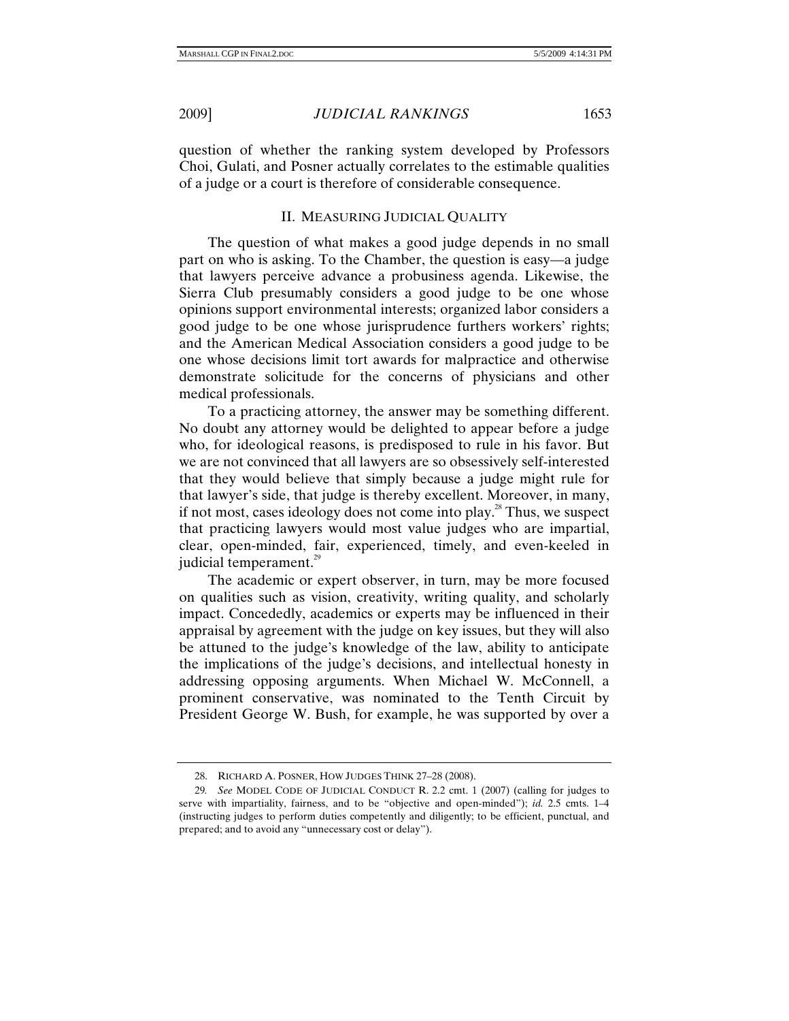question of whether the ranking system developed by Professors Choi, Gulati, and Posner actually correlates to the estimable qualities of a judge or a court is therefore of considerable consequence.

# II. MEASURING JUDICIAL QUALITY

The question of what makes a good judge depends in no small part on who is asking. To the Chamber, the question is easy—a judge that lawyers perceive advance a probusiness agenda. Likewise, the Sierra Club presumably considers a good judge to be one whose opinions support environmental interests; organized labor considers a good judge to be one whose jurisprudence furthers workers' rights; and the American Medical Association considers a good judge to be one whose decisions limit tort awards for malpractice and otherwise demonstrate solicitude for the concerns of physicians and other medical professionals.

To a practicing attorney, the answer may be something different. No doubt any attorney would be delighted to appear before a judge who, for ideological reasons, is predisposed to rule in his favor. But we are not convinced that all lawyers are so obsessively self-interested that they would believe that simply because a judge might rule for that lawyer's side, that judge is thereby excellent. Moreover, in many, if not most, cases ideology does not come into play.<sup>28</sup> Thus, we suspect that practicing lawyers would most value judges who are impartial, clear, open-minded, fair, experienced, timely, and even-keeled in judicial temperament.<sup>29</sup>

The academic or expert observer, in turn, may be more focused on qualities such as vision, creativity, writing quality, and scholarly impact. Concededly, academics or experts may be influenced in their appraisal by agreement with the judge on key issues, but they will also be attuned to the judge's knowledge of the law, ability to anticipate the implications of the judge's decisions, and intellectual honesty in addressing opposing arguments. When Michael W. McConnell, a prominent conservative, was nominated to the Tenth Circuit by President George W. Bush, for example, he was supported by over a

 <sup>28.</sup> RICHARD A. POSNER, HOW JUDGES THINK 27–28 (2008).

<sup>29</sup>*. See* MODEL CODE OF JUDICIAL CONDUCT R. 2.2 cmt. 1 (2007) (calling for judges to serve with impartiality, fairness, and to be "objective and open-minded"); *id.* 2.5 cmts. 1–4 (instructing judges to perform duties competently and diligently; to be efficient, punctual, and prepared; and to avoid any "unnecessary cost or delay").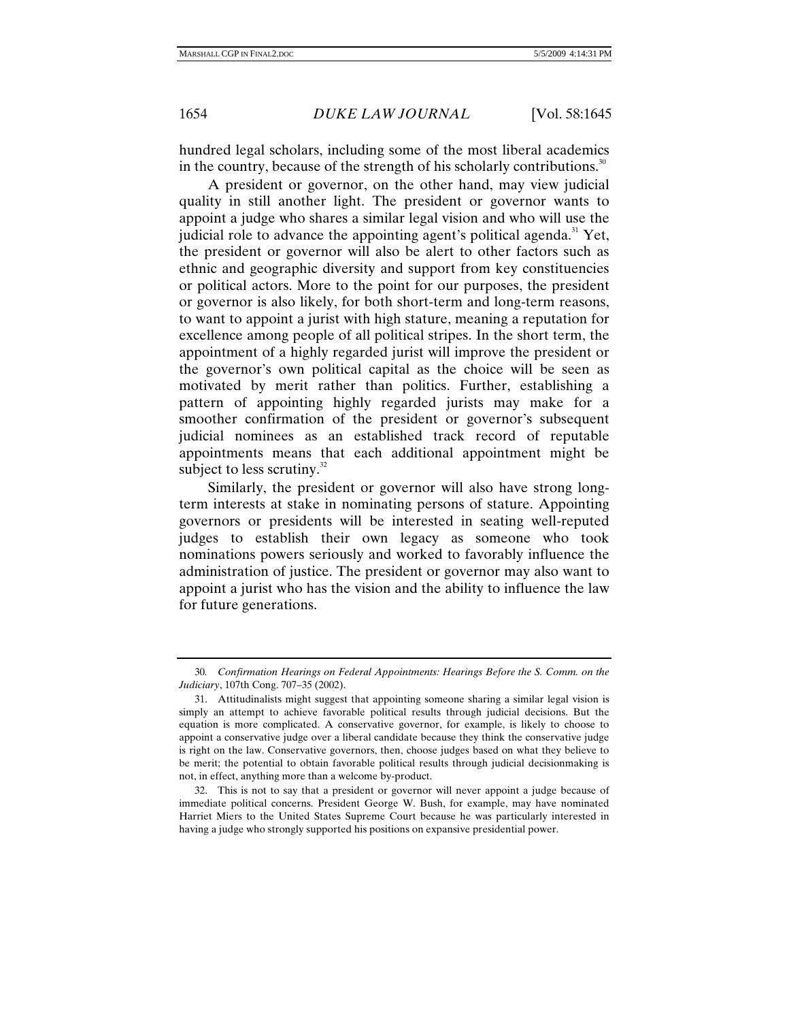hundred legal scholars, including some of the most liberal academics in the country, because of the strength of his scholarly contributions.<sup>30</sup>

A president or governor, on the other hand, may view judicial quality in still another light. The president or governor wants to appoint a judge who shares a similar legal vision and who will use the judicial role to advance the appointing agent's political agenda.<sup>31</sup> Yet, the president or governor will also be alert to other factors such as ethnic and geographic diversity and support from key constituencies or political actors. More to the point for our purposes, the president or governor is also likely, for both short-term and long-term reasons, to want to appoint a jurist with high stature, meaning a reputation for excellence among people of all political stripes. In the short term, the appointment of a highly regarded jurist will improve the president or the governor's own political capital as the choice will be seen as motivated by merit rather than politics. Further, establishing a pattern of appointing highly regarded jurists may make for a smoother confirmation of the president or governor's subsequent judicial nominees as an established track record of reputable appointments means that each additional appointment might be subject to less scrutiny. $32$ 

Similarly, the president or governor will also have strong longterm interests at stake in nominating persons of stature. Appointing governors or presidents will be interested in seating well-reputed judges to establish their own legacy as someone who took nominations powers seriously and worked to favorably influence the administration of justice. The president or governor may also want to appoint a jurist who has the vision and the ability to influence the law for future generations.

<sup>30</sup>*. Confirmation Hearings on Federal Appointments: Hearings Before the S. Comm. on the Judiciary*, 107th Cong. 707–35 (2002).

 <sup>31.</sup> Attitudinalists might suggest that appointing someone sharing a similar legal vision is simply an attempt to achieve favorable political results through judicial decisions. But the equation is more complicated. A conservative governor, for example, is likely to choose to appoint a conservative judge over a liberal candidate because they think the conservative judge is right on the law. Conservative governors, then, choose judges based on what they believe to be merit; the potential to obtain favorable political results through judicial decisionmaking is not, in effect, anything more than a welcome by-product.

 <sup>32.</sup> This is not to say that a president or governor will never appoint a judge because of immediate political concerns. President George W. Bush, for example, may have nominated Harriet Miers to the United States Supreme Court because he was particularly interested in having a judge who strongly supported his positions on expansive presidential power.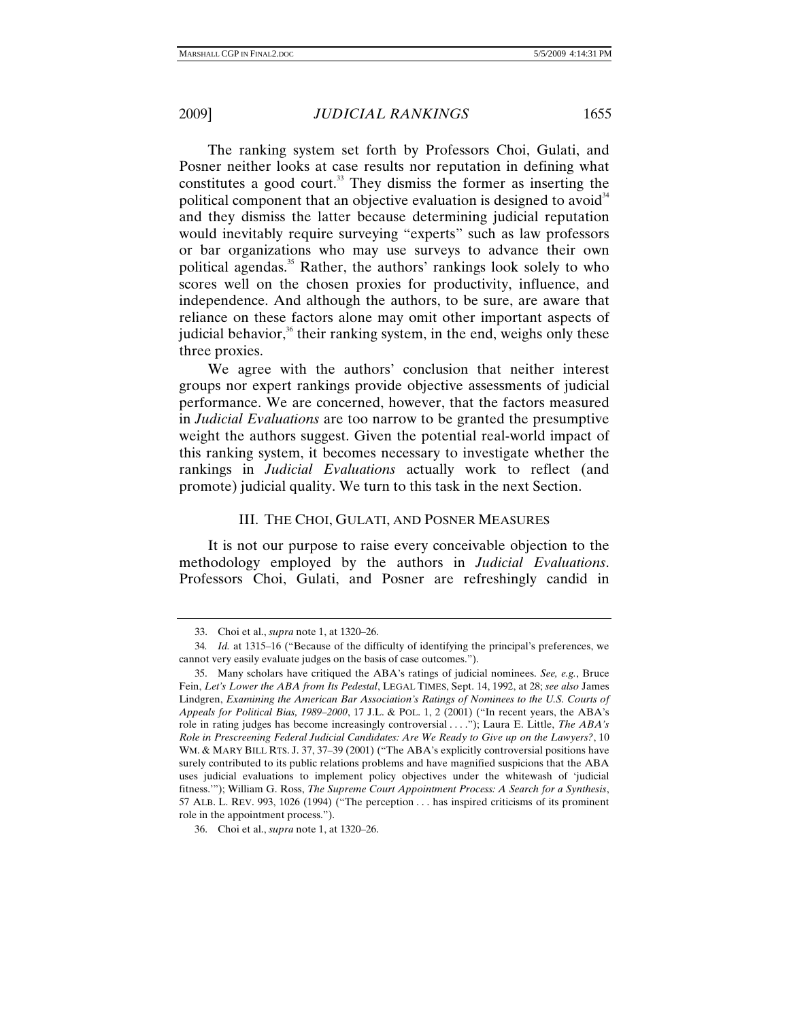The ranking system set forth by Professors Choi, Gulati, and Posner neither looks at case results nor reputation in defining what constitutes a good court. $33$  They dismiss the former as inserting the political component that an objective evaluation is designed to avoid  $34$ and they dismiss the latter because determining judicial reputation would inevitably require surveying "experts" such as law professors or bar organizations who may use surveys to advance their own political agendas.<sup>35</sup> Rather, the authors' rankings look solely to who scores well on the chosen proxies for productivity, influence, and independence. And although the authors, to be sure, are aware that reliance on these factors alone may omit other important aspects of judicial behavior, $36$  their ranking system, in the end, weighs only these three proxies.

We agree with the authors' conclusion that neither interest groups nor expert rankings provide objective assessments of judicial performance. We are concerned, however, that the factors measured in *Judicial Evaluations* are too narrow to be granted the presumptive weight the authors suggest. Given the potential real-world impact of this ranking system, it becomes necessary to investigate whether the rankings in *Judicial Evaluations* actually work to reflect (and promote) judicial quality. We turn to this task in the next Section.

#### III. THE CHOI, GULATI, AND POSNER MEASURES

It is not our purpose to raise every conceivable objection to the methodology employed by the authors in *Judicial Evaluations*. Professors Choi, Gulati, and Posner are refreshingly candid in

 <sup>33.</sup> Choi et al., *supra* note 1, at 1320–26.

<sup>34</sup>*. Id.* at 1315–16 ("Because of the difficulty of identifying the principal's preferences, we cannot very easily evaluate judges on the basis of case outcomes.").

 <sup>35.</sup> Many scholars have critiqued the ABA's ratings of judicial nominees. *See, e.g.*, Bruce Fein, *Let's Lower the ABA from Its Pedestal*, LEGAL TIMES, Sept. 14, 1992, at 28; *see also* James Lindgren, *Examining the American Bar Association's Ratings of Nominees to the U.S. Courts of Appeals for Political Bias, 1989–2000*, 17 J.L. & POL. 1, 2 (2001) ("In recent years, the ABA's role in rating judges has become increasingly controversial . . . ."); Laura E. Little, *The ABA's Role in Prescreening Federal Judicial Candidates: Are We Ready to Give up on the Lawyers?*, 10 WM. & MARY BILL RTS. J. 37, 37–39 (2001) ("The ABA's explicitly controversial positions have surely contributed to its public relations problems and have magnified suspicions that the ABA uses judicial evaluations to implement policy objectives under the whitewash of 'judicial fitness.'"); William G. Ross, *The Supreme Court Appointment Process: A Search for a Synthesis*, 57 ALB. L. REV. 993, 1026 (1994) ("The perception . . . has inspired criticisms of its prominent role in the appointment process.").

 <sup>36.</sup> Choi et al., *supra* note 1, at 1320–26.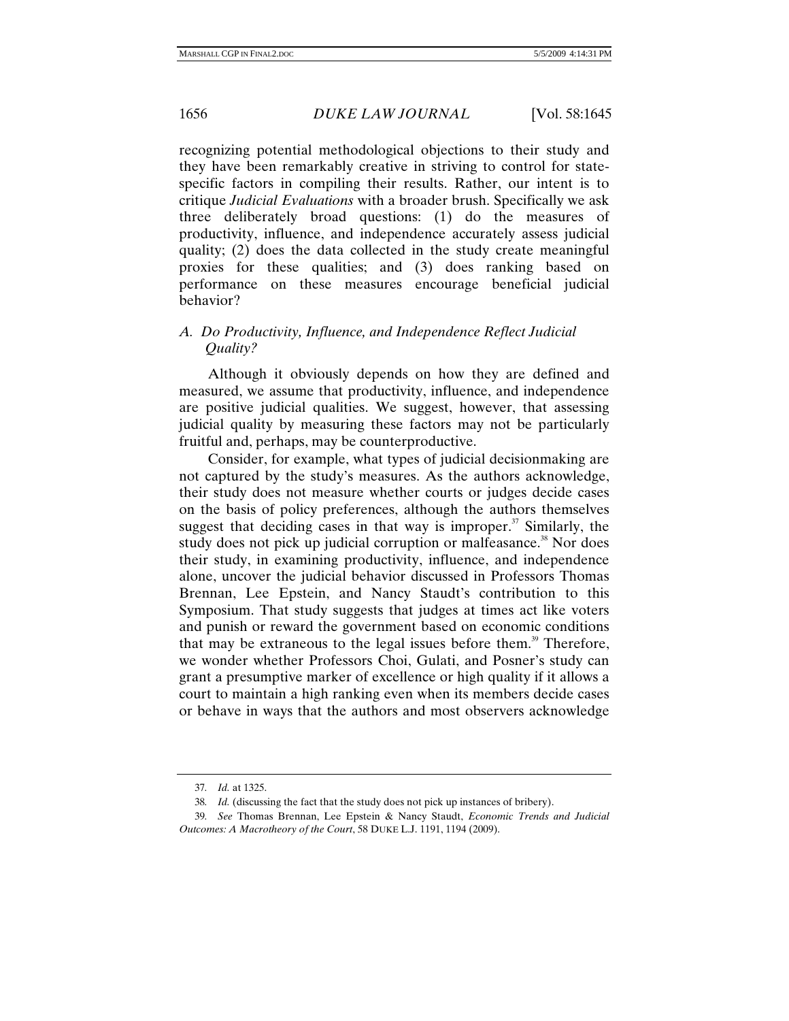recognizing potential methodological objections to their study and they have been remarkably creative in striving to control for statespecific factors in compiling their results. Rather, our intent is to critique *Judicial Evaluations* with a broader brush. Specifically we ask three deliberately broad questions: (1) do the measures of productivity, influence, and independence accurately assess judicial quality; (2) does the data collected in the study create meaningful proxies for these qualities; and (3) does ranking based on performance on these measures encourage beneficial judicial behavior?

# *A. Do Productivity, Influence, and Independence Reflect Judicial Quality?*

Although it obviously depends on how they are defined and measured, we assume that productivity, influence, and independence are positive judicial qualities. We suggest, however, that assessing judicial quality by measuring these factors may not be particularly fruitful and, perhaps, may be counterproductive.

Consider, for example, what types of judicial decisionmaking are not captured by the study's measures. As the authors acknowledge, their study does not measure whether courts or judges decide cases on the basis of policy preferences, although the authors themselves suggest that deciding cases in that way is improper.<sup>37</sup> Similarly, the study does not pick up judicial corruption or malfeasance.<sup>38</sup> Nor does their study, in examining productivity, influence, and independence alone, uncover the judicial behavior discussed in Professors Thomas Brennan, Lee Epstein, and Nancy Staudt's contribution to this Symposium. That study suggests that judges at times act like voters and punish or reward the government based on economic conditions that may be extraneous to the legal issues before them.<sup>39</sup> Therefore, we wonder whether Professors Choi, Gulati, and Posner's study can grant a presumptive marker of excellence or high quality if it allows a court to maintain a high ranking even when its members decide cases or behave in ways that the authors and most observers acknowledge

<sup>37</sup>*. Id.* at 1325.

<sup>38</sup>*. Id.* (discussing the fact that the study does not pick up instances of bribery).

<sup>39</sup>*. See* Thomas Brennan, Lee Epstein & Nancy Staudt, *Economic Trends and Judicial Outcomes: A Macrotheory of the Court*, 58 DUKE L.J. 1191, 1194 (2009).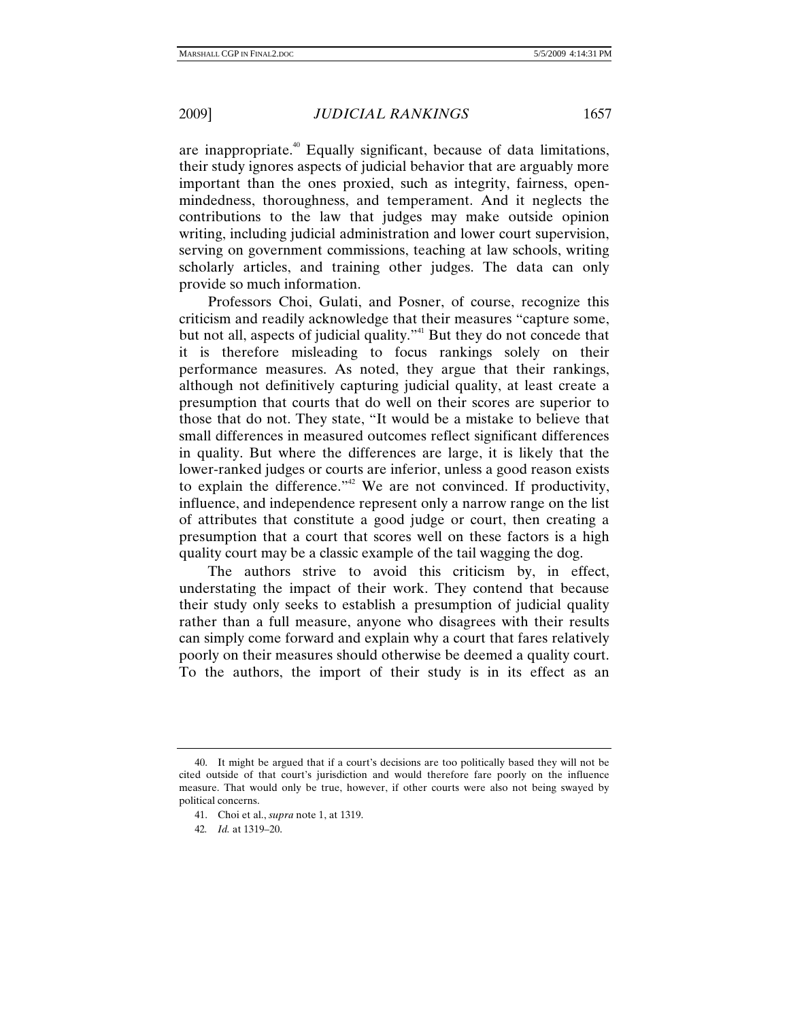are inappropriate.<sup>40</sup> Equally significant, because of data limitations, their study ignores aspects of judicial behavior that are arguably more important than the ones proxied, such as integrity, fairness, openmindedness, thoroughness, and temperament. And it neglects the contributions to the law that judges may make outside opinion writing, including judicial administration and lower court supervision, serving on government commissions, teaching at law schools, writing scholarly articles, and training other judges. The data can only provide so much information.

Professors Choi, Gulati, and Posner, of course, recognize this criticism and readily acknowledge that their measures "capture some, but not all, aspects of judicial quality."<sup>41</sup> But they do not concede that it is therefore misleading to focus rankings solely on their performance measures. As noted, they argue that their rankings, although not definitively capturing judicial quality, at least create a presumption that courts that do well on their scores are superior to those that do not. They state, "It would be a mistake to believe that small differences in measured outcomes reflect significant differences in quality. But where the differences are large, it is likely that the lower-ranked judges or courts are inferior, unless a good reason exists to explain the difference." We are not convinced. If productivity, influence, and independence represent only a narrow range on the list of attributes that constitute a good judge or court, then creating a presumption that a court that scores well on these factors is a high quality court may be a classic example of the tail wagging the dog.

The authors strive to avoid this criticism by, in effect, understating the impact of their work. They contend that because their study only seeks to establish a presumption of judicial quality rather than a full measure, anyone who disagrees with their results can simply come forward and explain why a court that fares relatively poorly on their measures should otherwise be deemed a quality court. To the authors, the import of their study is in its effect as an

 <sup>40.</sup> It might be argued that if a court's decisions are too politically based they will not be cited outside of that court's jurisdiction and would therefore fare poorly on the influence measure. That would only be true, however, if other courts were also not being swayed by political concerns.

 <sup>41.</sup> Choi et al., *supra* note 1, at 1319.

<sup>42</sup>*. Id.* at 1319–20.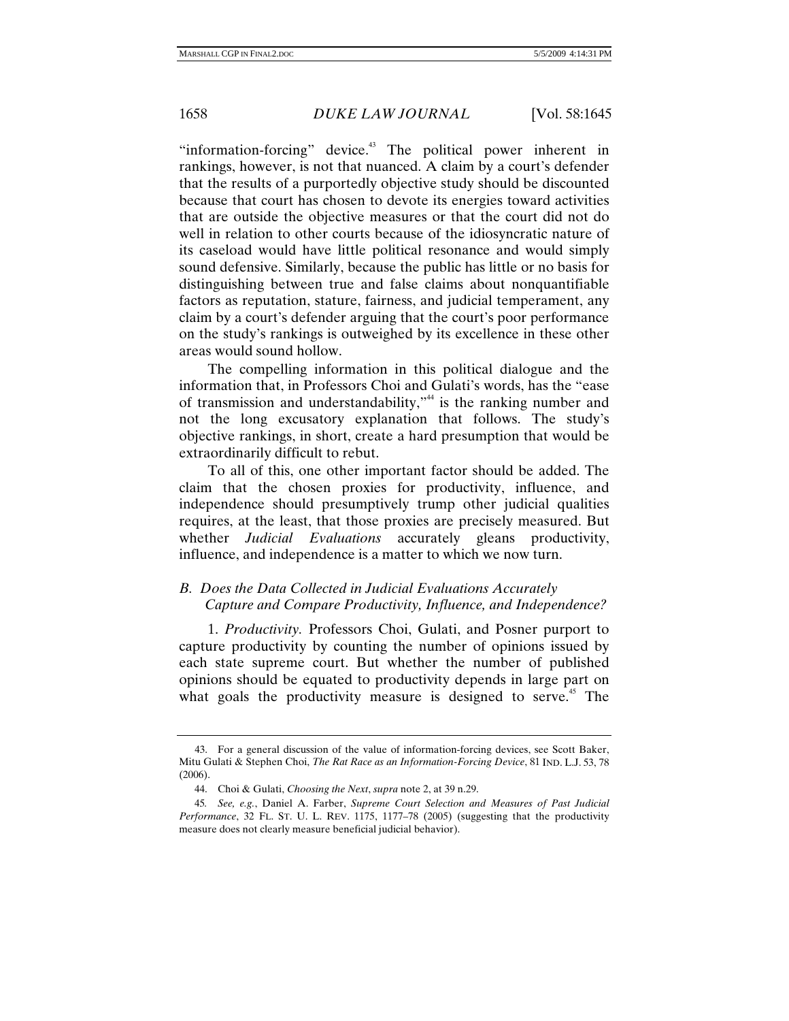"information-forcing" device.<sup>43</sup> The political power inherent in rankings, however, is not that nuanced. A claim by a court's defender that the results of a purportedly objective study should be discounted because that court has chosen to devote its energies toward activities that are outside the objective measures or that the court did not do well in relation to other courts because of the idiosyncratic nature of its caseload would have little political resonance and would simply sound defensive. Similarly, because the public has little or no basis for distinguishing between true and false claims about nonquantifiable factors as reputation, stature, fairness, and judicial temperament, any claim by a court's defender arguing that the court's poor performance on the study's rankings is outweighed by its excellence in these other areas would sound hollow.

The compelling information in this political dialogue and the information that, in Professors Choi and Gulati's words, has the "ease of transmission and understandability,"<sup>44</sup> is the ranking number and not the long excusatory explanation that follows. The study's objective rankings, in short, create a hard presumption that would be extraordinarily difficult to rebut.

To all of this, one other important factor should be added. The claim that the chosen proxies for productivity, influence, and independence should presumptively trump other judicial qualities requires, at the least, that those proxies are precisely measured. But whether *Judicial Evaluations* accurately gleans productivity, influence, and independence is a matter to which we now turn.

# *B. Does the Data Collected in Judicial Evaluations Accurately Capture and Compare Productivity, Influence, and Independence?*

1. *Productivity.* Professors Choi, Gulati, and Posner purport to capture productivity by counting the number of opinions issued by each state supreme court. But whether the number of published opinions should be equated to productivity depends in large part on what goals the productivity measure is designed to serve.<sup>45</sup> The

 <sup>43.</sup> For a general discussion of the value of information-forcing devices, see Scott Baker, Mitu Gulati & Stephen Choi, *The Rat Race as an Information-Forcing Device*, 81 IND. L.J. 53, 78 (2006).

 <sup>44.</sup> Choi & Gulati, *Choosing the Next*, *supra* note 2, at 39 n.29.

<sup>45</sup>*. See, e.g.*, Daniel A. Farber, *Supreme Court Selection and Measures of Past Judicial Performance*, 32 FL. ST. U. L. REV. 1175, 1177–78 (2005) (suggesting that the productivity measure does not clearly measure beneficial judicial behavior).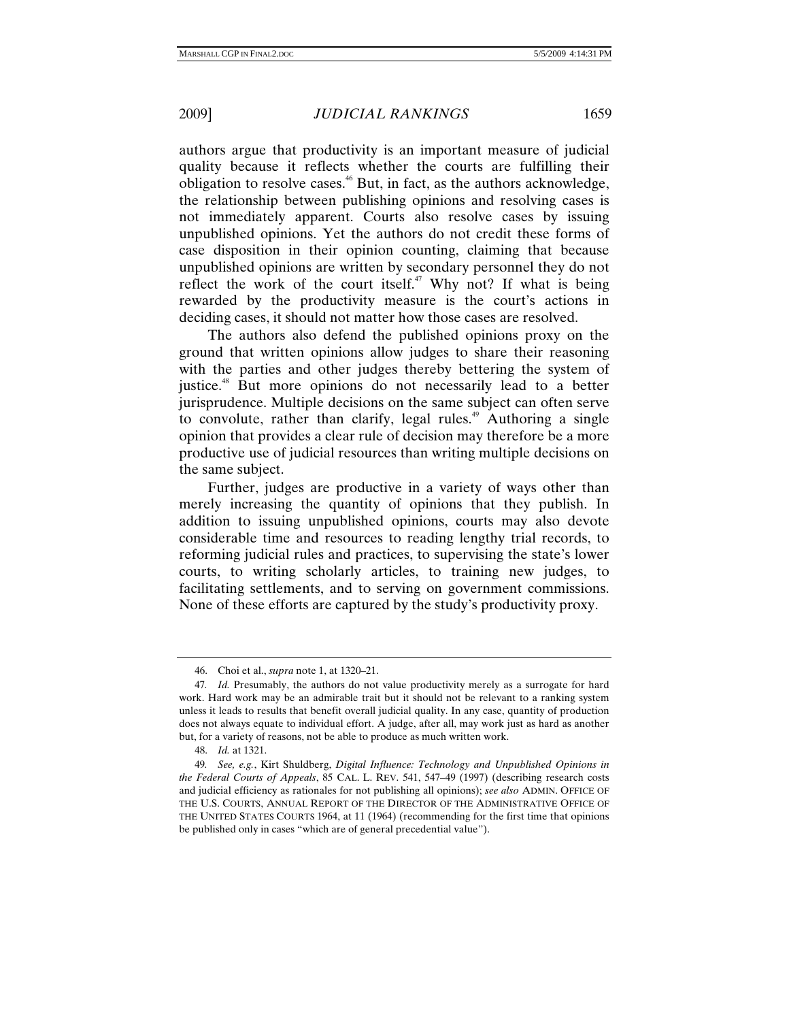authors argue that productivity is an important measure of judicial quality because it reflects whether the courts are fulfilling their obligation to resolve cases.<sup>46</sup> But, in fact, as the authors acknowledge, the relationship between publishing opinions and resolving cases is not immediately apparent. Courts also resolve cases by issuing unpublished opinions. Yet the authors do not credit these forms of case disposition in their opinion counting, claiming that because unpublished opinions are written by secondary personnel they do not reflect the work of the court itself.<sup>47</sup> Why not? If what is being rewarded by the productivity measure is the court's actions in deciding cases, it should not matter how those cases are resolved.

The authors also defend the published opinions proxy on the ground that written opinions allow judges to share their reasoning with the parties and other judges thereby bettering the system of justice.<sup>48</sup> But more opinions do not necessarily lead to a better jurisprudence. Multiple decisions on the same subject can often serve to convolute, rather than clarify, legal rules.<sup> $49$ </sup> Authoring a single opinion that provides a clear rule of decision may therefore be a more productive use of judicial resources than writing multiple decisions on the same subject.

Further, judges are productive in a variety of ways other than merely increasing the quantity of opinions that they publish. In addition to issuing unpublished opinions, courts may also devote considerable time and resources to reading lengthy trial records, to reforming judicial rules and practices, to supervising the state's lower courts, to writing scholarly articles, to training new judges, to facilitating settlements, and to serving on government commissions. None of these efforts are captured by the study's productivity proxy.

 <sup>46.</sup> Choi et al., *supra* note 1, at 1320–21.

<sup>47</sup>*. Id.* Presumably, the authors do not value productivity merely as a surrogate for hard work. Hard work may be an admirable trait but it should not be relevant to a ranking system unless it leads to results that benefit overall judicial quality. In any case, quantity of production does not always equate to individual effort. A judge, after all, may work just as hard as another but, for a variety of reasons, not be able to produce as much written work.

 <sup>48.</sup> *Id.* at 1321.

<sup>49</sup>*. See, e.g.*, Kirt Shuldberg, *Digital Influence: Technology and Unpublished Opinions in the Federal Courts of Appeals*, 85 CAL. L. REV. 541, 547–49 (1997) (describing research costs and judicial efficiency as rationales for not publishing all opinions); *see also* ADMIN. OFFICE OF THE U.S. COURTS, ANNUAL REPORT OF THE DIRECTOR OF THE ADMINISTRATIVE OFFICE OF THE UNITED STATES COURTS 1964, at 11 (1964) (recommending for the first time that opinions be published only in cases "which are of general precedential value").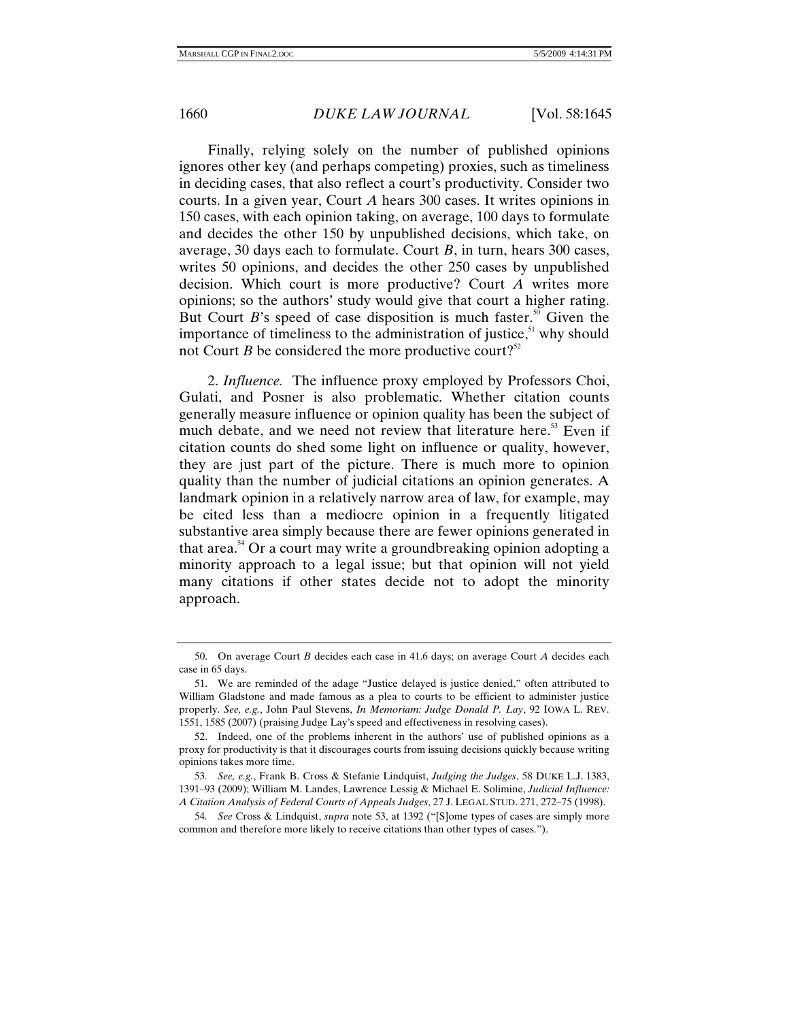Finally, relying solely on the number of published opinions ignores other key (and perhaps competing) proxies, such as timeliness in deciding cases, that also reflect a court's productivity. Consider two courts. In a given year, Court *A* hears 300 cases. It writes opinions in 150 cases, with each opinion taking, on average, 100 days to formulate and decides the other 150 by unpublished decisions, which take, on average, 30 days each to formulate. Court *B*, in turn, hears 300 cases, writes 50 opinions, and decides the other 250 cases by unpublished decision. Which court is more productive? Court *A* writes more opinions; so the authors' study would give that court a higher rating. But Court *B*'s speed of case disposition is much faster.<sup>50</sup> Given the importance of timeliness to the administration of justice, $51$  why should not Court *B* be considered the more productive court?<sup>52</sup>

2. *Influence.* The influence proxy employed by Professors Choi, Gulati, and Posner is also problematic. Whether citation counts generally measure influence or opinion quality has been the subject of much debate, and we need not review that literature here.<sup>53</sup> Even if citation counts do shed some light on influence or quality, however, they are just part of the picture. There is much more to opinion quality than the number of judicial citations an opinion generates. A landmark opinion in a relatively narrow area of law, for example, may be cited less than a mediocre opinion in a frequently litigated substantive area simply because there are fewer opinions generated in that area.<sup>54</sup> Or a court may write a groundbreaking opinion adopting a minority approach to a legal issue; but that opinion will not yield many citations if other states decide not to adopt the minority approach.

 <sup>50.</sup> On average Court *B* decides each case in 41.6 days; on average Court *A* decides each case in 65 days.

 <sup>51.</sup> We are reminded of the adage "Justice delayed is justice denied," often attributed to William Gladstone and made famous as a plea to courts to be efficient to administer justice properly. *See, e.g.*, John Paul Stevens, *In Memoriam: Judge Donald P. Lay*, 92 IOWA L. REV. 1551, 1585 (2007) (praising Judge Lay's speed and effectiveness in resolving cases).

 <sup>52.</sup> Indeed, one of the problems inherent in the authors' use of published opinions as a proxy for productivity is that it discourages courts from issuing decisions quickly because writing opinions takes more time.

<sup>53</sup>*. See, e.g.*, Frank B. Cross & Stefanie Lindquist, *Judging the Judges*, 58 DUKE L.J. 1383, 1391–93 (2009); William M. Landes, Lawrence Lessig & Michael E. Solimine, *Judicial Influence: A Citation Analysis of Federal Courts of Appeals Judges*, 27 J. LEGAL STUD. 271, 272–75 (1998).

<sup>54</sup>*. See* Cross & Lindquist, *supra* note 53, at 1392 ("[S]ome types of cases are simply more common and therefore more likely to receive citations than other types of cases.").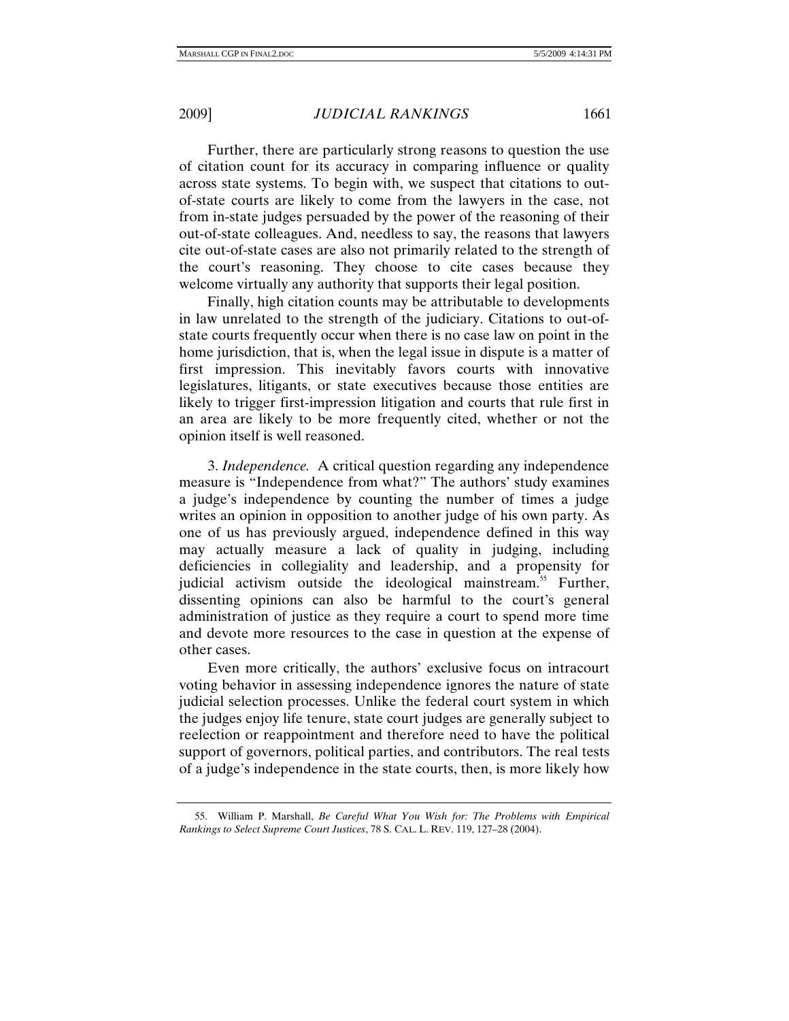Further, there are particularly strong reasons to question the use of citation count for its accuracy in comparing influence or quality across state systems. To begin with, we suspect that citations to outof-state courts are likely to come from the lawyers in the case, not from in-state judges persuaded by the power of the reasoning of their out-of-state colleagues. And, needless to say, the reasons that lawyers cite out-of-state cases are also not primarily related to the strength of the court's reasoning. They choose to cite cases because they welcome virtually any authority that supports their legal position.

Finally, high citation counts may be attributable to developments in law unrelated to the strength of the judiciary. Citations to out-ofstate courts frequently occur when there is no case law on point in the home jurisdiction, that is, when the legal issue in dispute is a matter of first impression. This inevitably favors courts with innovative legislatures, litigants, or state executives because those entities are likely to trigger first-impression litigation and courts that rule first in an area are likely to be more frequently cited, whether or not the opinion itself is well reasoned.

3. *Independence.* A critical question regarding any independence measure is "Independence from what?" The authors' study examines a judge's independence by counting the number of times a judge writes an opinion in opposition to another judge of his own party. As one of us has previously argued, independence defined in this way may actually measure a lack of quality in judging, including deficiencies in collegiality and leadership, and a propensity for judicial activism outside the ideological mainstream.<sup>55</sup> Further, dissenting opinions can also be harmful to the court's general administration of justice as they require a court to spend more time and devote more resources to the case in question at the expense of other cases.

Even more critically, the authors' exclusive focus on intracourt voting behavior in assessing independence ignores the nature of state judicial selection processes. Unlike the federal court system in which the judges enjoy life tenure, state court judges are generally subject to reelection or reappointment and therefore need to have the political support of governors, political parties, and contributors. The real tests of a judge's independence in the state courts, then, is more likely how

 <sup>55.</sup> William P. Marshall, *Be Careful What You Wish for: The Problems with Empirical Rankings to Select Supreme Court Justices*, 78 S. CAL. L. REV. 119, 127–28 (2004).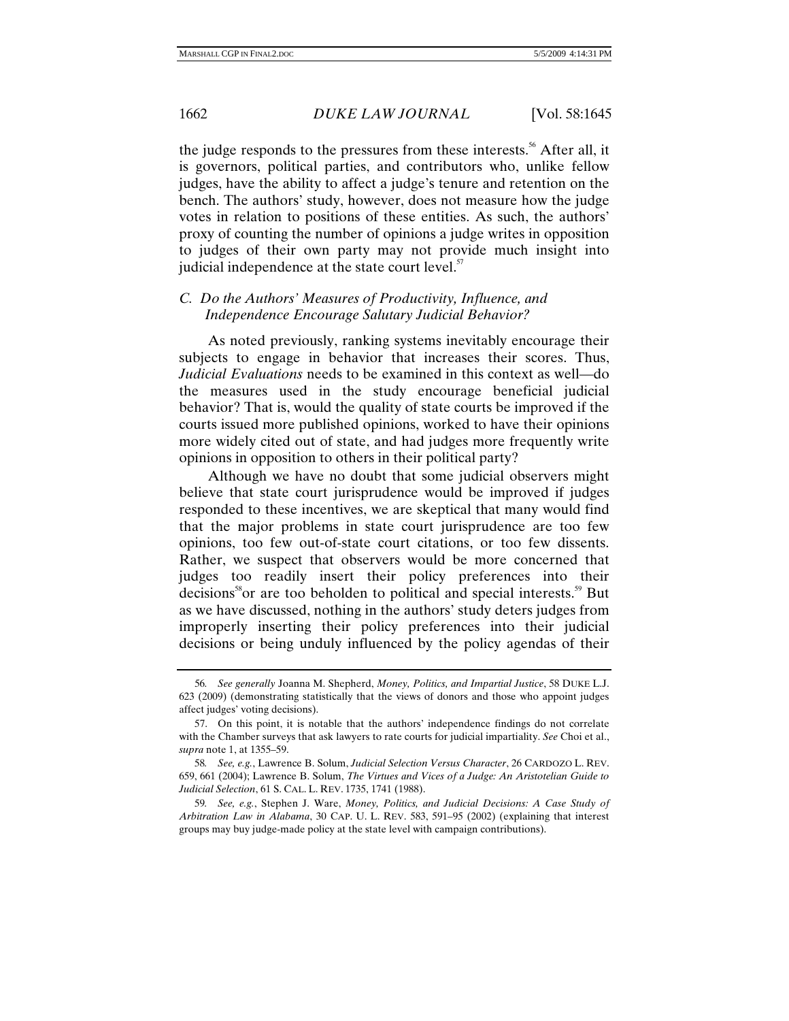the judge responds to the pressures from these interests.<sup>56</sup> After all, it is governors, political parties, and contributors who, unlike fellow judges, have the ability to affect a judge's tenure and retention on the bench. The authors' study, however, does not measure how the judge votes in relation to positions of these entities. As such, the authors' proxy of counting the number of opinions a judge writes in opposition to judges of their own party may not provide much insight into judicial independence at the state court level. $57$ 

# *C. Do the Authors' Measures of Productivity, Influence, and Independence Encourage Salutary Judicial Behavior?*

As noted previously, ranking systems inevitably encourage their subjects to engage in behavior that increases their scores. Thus, *Judicial Evaluations* needs to be examined in this context as well—do the measures used in the study encourage beneficial judicial behavior? That is, would the quality of state courts be improved if the courts issued more published opinions, worked to have their opinions more widely cited out of state, and had judges more frequently write opinions in opposition to others in their political party?

Although we have no doubt that some judicial observers might believe that state court jurisprudence would be improved if judges responded to these incentives, we are skeptical that many would find that the major problems in state court jurisprudence are too few opinions, too few out-of-state court citations, or too few dissents. Rather, we suspect that observers would be more concerned that judges too readily insert their policy preferences into their decisions ${}^{56}$ or are too beholden to political and special interests. ${}^{59}$  But as we have discussed, nothing in the authors' study deters judges from improperly inserting their policy preferences into their judicial decisions or being unduly influenced by the policy agendas of their

<sup>56</sup>*. See generally* Joanna M. Shepherd, *Money, Politics, and Impartial Justice*, 58 DUKE L.J. 623 (2009) (demonstrating statistically that the views of donors and those who appoint judges affect judges' voting decisions).

 <sup>57.</sup> On this point, it is notable that the authors' independence findings do not correlate with the Chamber surveys that ask lawyers to rate courts for judicial impartiality. *See* Choi et al., *supra* note 1, at 1355–59.

<sup>58</sup>*. See, e.g.*, Lawrence B. Solum, *Judicial Selection Versus Character*, 26 CARDOZO L. REV. 659, 661 (2004); Lawrence B. Solum, *The Virtues and Vices of a Judge: An Aristotelian Guide to Judicial Selection*, 61 S. CAL. L. REV. 1735, 1741 (1988).

<sup>59</sup>*. See, e.g.*, Stephen J. Ware, *Money, Politics, and Judicial Decisions: A Case Study of Arbitration Law in Alabama*, 30 CAP. U. L. REV. 583, 591–95 (2002) (explaining that interest groups may buy judge-made policy at the state level with campaign contributions).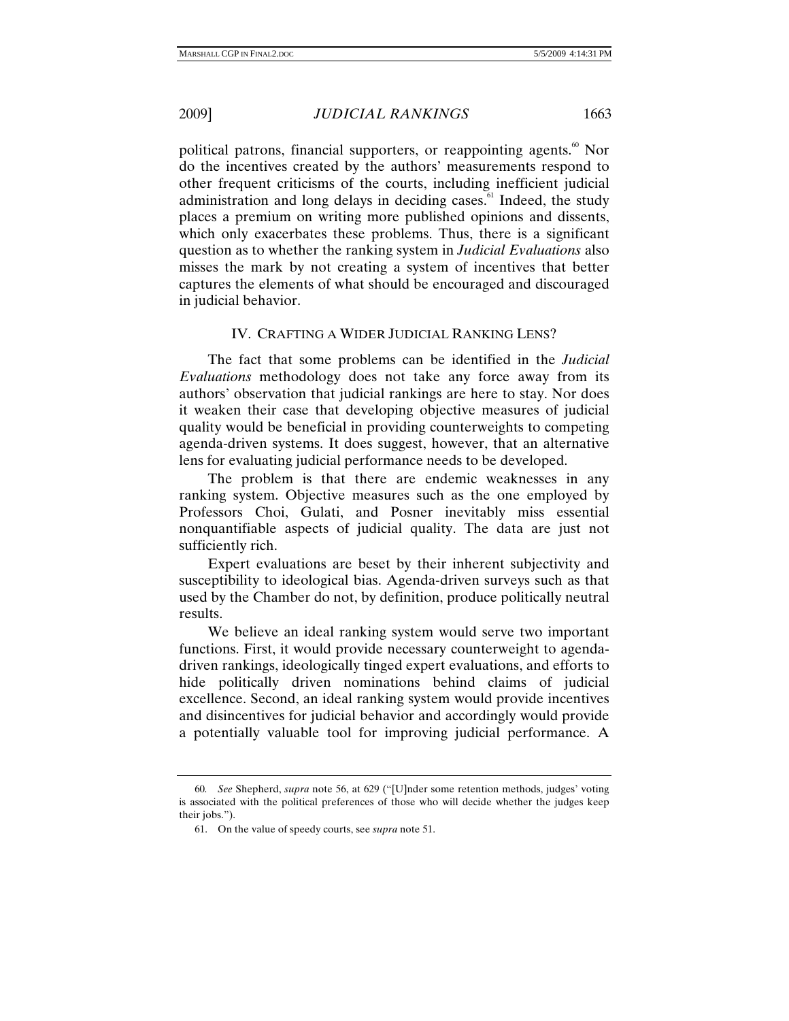in judicial behavior.

political patrons, financial supporters, or reappointing agents.<sup>60</sup> Nor do the incentives created by the authors' measurements respond to other frequent criticisms of the courts, including inefficient judicial administration and long delays in deciding cases.<sup>61</sup> Indeed, the study places a premium on writing more published opinions and dissents, which only exacerbates these problems. Thus, there is a significant question as to whether the ranking system in *Judicial Evaluations* also misses the mark by not creating a system of incentives that better captures the elements of what should be encouraged and discouraged

## IV. CRAFTING A WIDER JUDICIAL RANKING LENS?

The fact that some problems can be identified in the *Judicial Evaluations* methodology does not take any force away from its authors' observation that judicial rankings are here to stay. Nor does it weaken their case that developing objective measures of judicial quality would be beneficial in providing counterweights to competing agenda-driven systems. It does suggest, however, that an alternative lens for evaluating judicial performance needs to be developed.

The problem is that there are endemic weaknesses in any ranking system. Objective measures such as the one employed by Professors Choi, Gulati, and Posner inevitably miss essential nonquantifiable aspects of judicial quality. The data are just not sufficiently rich.

Expert evaluations are beset by their inherent subjectivity and susceptibility to ideological bias. Agenda-driven surveys such as that used by the Chamber do not, by definition, produce politically neutral results.

We believe an ideal ranking system would serve two important functions. First, it would provide necessary counterweight to agendadriven rankings, ideologically tinged expert evaluations, and efforts to hide politically driven nominations behind claims of judicial excellence. Second, an ideal ranking system would provide incentives and disincentives for judicial behavior and accordingly would provide a potentially valuable tool for improving judicial performance. A

<sup>60</sup>*. See* Shepherd, *supra* note 56, at 629 ("[U]nder some retention methods, judges' voting is associated with the political preferences of those who will decide whether the judges keep their jobs.").

 <sup>61.</sup> On the value of speedy courts, see *supra* note 51.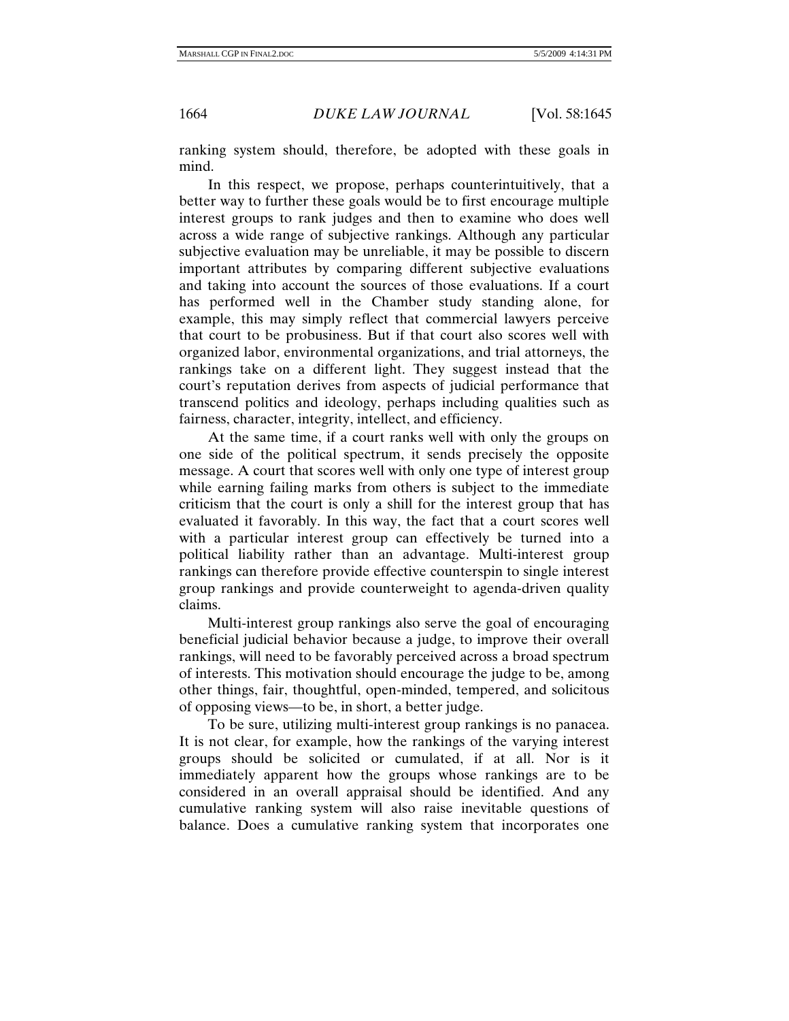ranking system should, therefore, be adopted with these goals in mind.

In this respect, we propose, perhaps counterintuitively, that a better way to further these goals would be to first encourage multiple interest groups to rank judges and then to examine who does well across a wide range of subjective rankings. Although any particular subjective evaluation may be unreliable, it may be possible to discern important attributes by comparing different subjective evaluations and taking into account the sources of those evaluations. If a court has performed well in the Chamber study standing alone, for example, this may simply reflect that commercial lawyers perceive that court to be probusiness. But if that court also scores well with organized labor, environmental organizations, and trial attorneys, the rankings take on a different light. They suggest instead that the court's reputation derives from aspects of judicial performance that transcend politics and ideology, perhaps including qualities such as fairness, character, integrity, intellect, and efficiency.

At the same time, if a court ranks well with only the groups on one side of the political spectrum, it sends precisely the opposite message. A court that scores well with only one type of interest group while earning failing marks from others is subject to the immediate criticism that the court is only a shill for the interest group that has evaluated it favorably. In this way, the fact that a court scores well with a particular interest group can effectively be turned into a political liability rather than an advantage. Multi-interest group rankings can therefore provide effective counterspin to single interest group rankings and provide counterweight to agenda-driven quality claims.

Multi-interest group rankings also serve the goal of encouraging beneficial judicial behavior because a judge, to improve their overall rankings, will need to be favorably perceived across a broad spectrum of interests. This motivation should encourage the judge to be, among other things, fair, thoughtful, open-minded, tempered, and solicitous of opposing views—to be, in short, a better judge.

To be sure, utilizing multi-interest group rankings is no panacea. It is not clear, for example, how the rankings of the varying interest groups should be solicited or cumulated, if at all. Nor is it immediately apparent how the groups whose rankings are to be considered in an overall appraisal should be identified. And any cumulative ranking system will also raise inevitable questions of balance. Does a cumulative ranking system that incorporates one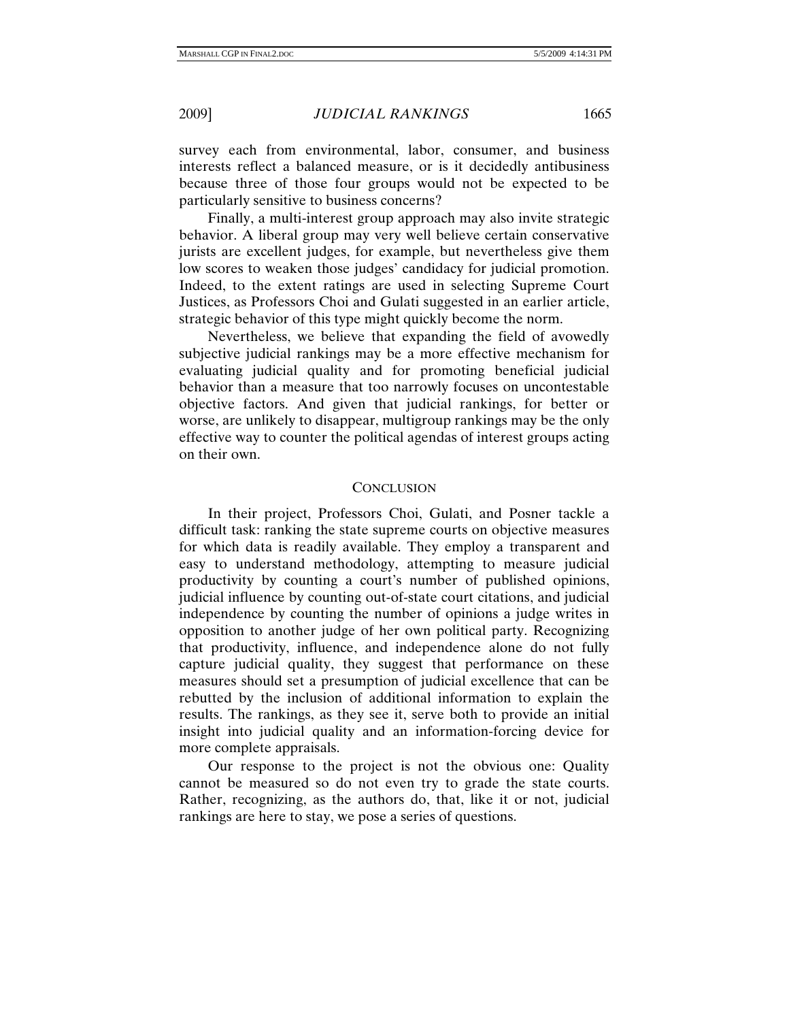survey each from environmental, labor, consumer, and business interests reflect a balanced measure, or is it decidedly antibusiness because three of those four groups would not be expected to be particularly sensitive to business concerns?

Finally, a multi-interest group approach may also invite strategic behavior. A liberal group may very well believe certain conservative jurists are excellent judges, for example, but nevertheless give them low scores to weaken those judges' candidacy for judicial promotion. Indeed, to the extent ratings are used in selecting Supreme Court Justices, as Professors Choi and Gulati suggested in an earlier article, strategic behavior of this type might quickly become the norm.

Nevertheless, we believe that expanding the field of avowedly subjective judicial rankings may be a more effective mechanism for evaluating judicial quality and for promoting beneficial judicial behavior than a measure that too narrowly focuses on uncontestable objective factors. And given that judicial rankings, for better or worse, are unlikely to disappear, multigroup rankings may be the only effective way to counter the political agendas of interest groups acting on their own.

## **CONCLUSION**

In their project, Professors Choi, Gulati, and Posner tackle a difficult task: ranking the state supreme courts on objective measures for which data is readily available. They employ a transparent and easy to understand methodology, attempting to measure judicial productivity by counting a court's number of published opinions, judicial influence by counting out-of-state court citations, and judicial independence by counting the number of opinions a judge writes in opposition to another judge of her own political party. Recognizing that productivity, influence, and independence alone do not fully capture judicial quality, they suggest that performance on these measures should set a presumption of judicial excellence that can be rebutted by the inclusion of additional information to explain the results. The rankings, as they see it, serve both to provide an initial insight into judicial quality and an information-forcing device for more complete appraisals.

Our response to the project is not the obvious one: Quality cannot be measured so do not even try to grade the state courts. Rather, recognizing, as the authors do, that, like it or not, judicial rankings are here to stay, we pose a series of questions.